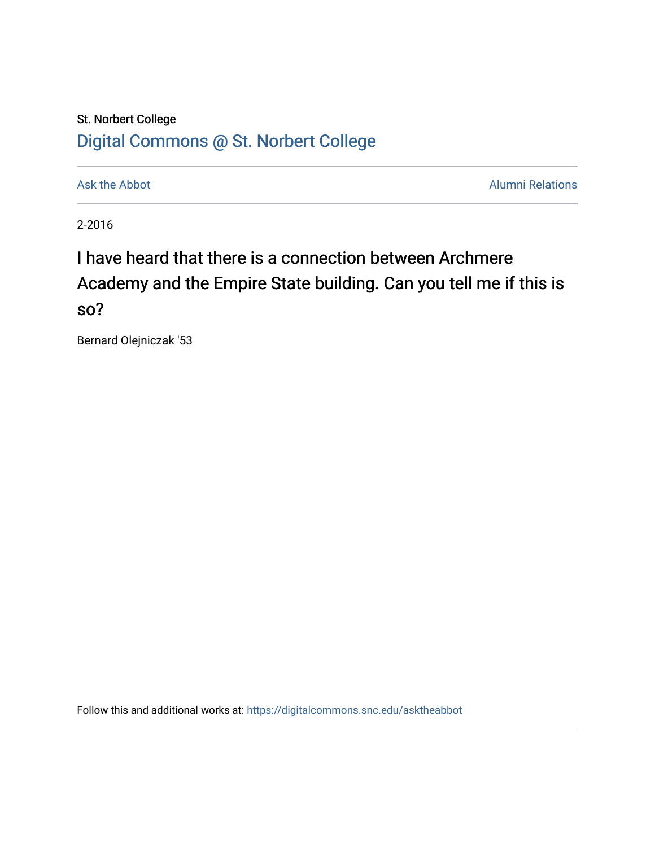## St. Norbert College [Digital Commons @ St. Norbert College](https://digitalcommons.snc.edu/)

[Ask the Abbot](https://digitalcommons.snc.edu/asktheabbot) **Alumni Relations** Ask the Abbot **Alumni Relations** 

2-2016

# I have heard that there is a connection between Archmere Academy and the Empire State building. Can you tell me if this is so?

Bernard Olejniczak '53

Follow this and additional works at: [https://digitalcommons.snc.edu/asktheabbot](https://digitalcommons.snc.edu/asktheabbot?utm_source=digitalcommons.snc.edu%2Fasktheabbot%2F153&utm_medium=PDF&utm_campaign=PDFCoverPages)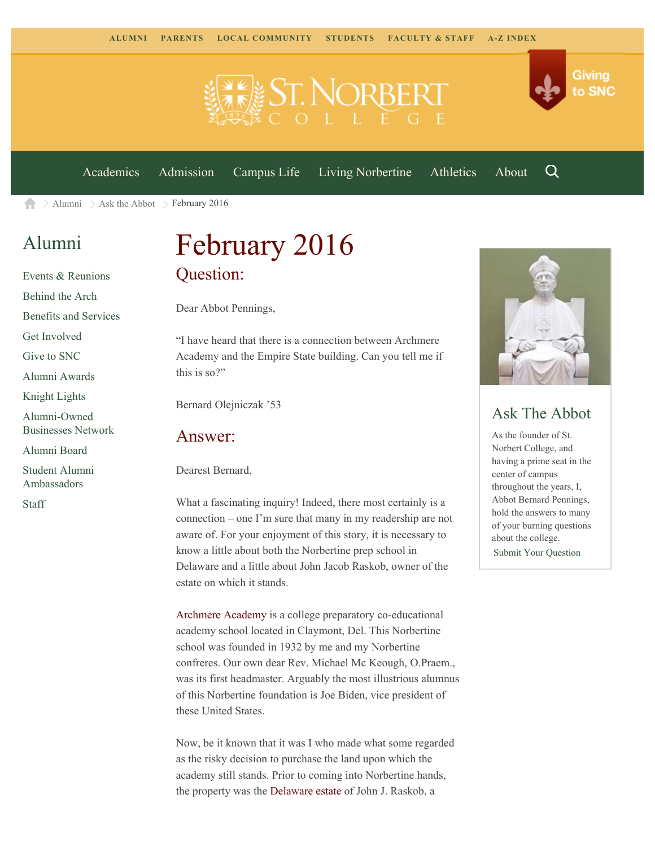

[Academics](https://www.snc.edu/academics) [Admission](https://www.snc.edu/admission) [Campus Life](https://www.snc.edu/campuslife) [Living Norbertine](https://www.snc.edu/livingnorbertine) [Athletics](https://www.snc.edu/athletics) [About](https://www.snc.edu/about)

Q

Giving

to SNC

[Alumni](https://www.snc.edu/alumni/)  $\geq$  [Ask the Abbot](https://www.snc.edu/alumni/abbot/)  $\geq$  February 2016 合

## [Alumni](https://www.snc.edu/alumni/index.html)

[Events & Reunions](https://www.snc.edu/alumni/event/index.html) [Behind the Arch](https://www.snc.edu/alumni/event/behindthearch/) [Benefits and Services](https://www.snc.edu/alumni/benefits.html) [Get Involved](https://www.snc.edu/alumni/getinvolved.html) [Give to SNC](http://giving.snc.edu/) [Alumni Awards](https://www.snc.edu/alumni/awards/index.html) [Knight Lights](https://www.snc.edu/alumni/knightlights/index.html) [Alumni-Owned](https://www.snc.edu/alumni/directory/index.html) [Businesses Network](https://www.snc.edu/alumni/directory/index.html) [Alumni Board](https://www.snc.edu/alumni/alumniboard.html) [Student Alumni](https://www.snc.edu/alumni/saa.html) [Ambassadors](https://www.snc.edu/alumni/saa.html) [Staff](https://www.snc.edu/alumni/contactus.html)

# February 2016 Question:

Dear Abbot Pennings,

"I have heard that there is a connection between Archmere Academy and the Empire State building. Can you tell me if this is so?"

Bernard Olejniczak '53

#### Answer:

Dearest Bernard,

What a fascinating inquiry! Indeed, there most certainly is a connection – one I'm sure that many in my readership are not aware of. For your enjoyment of this story, it is necessary to know a little about both the Norbertine prep school in Delaware and a little about John Jacob Raskob, owner of the estate on which it stands.

[Archmere Academy](http://www.archmereacademy.com/page) is a college preparatory co-educational academy school located in Claymont, Del. This Norbertine school was founded in 1932 by me and my Norbertine confreres. Our own dear Rev. Michael Mc Keough, O.Praem., was its first headmaster. Arguably the most illustrious alumnus of this Norbertine foundation is Joe Biden, vice president of these United States.

Now, be it known that it was I who made what some regarded as the risky decision to purchase the land upon which the academy still stands. Prior to coming into Norbertine hands, the property was the [Delaware estate](http://www.archmereacademy.com/Page/Welcome/Mission--Heritage) of John J. Raskob, a



### Ask The Abbot

As the founder of St. Norbert College, and having a prime seat in the center of campus throughout the years, I, Abbot Bernard Pennings, hold the answers to many of your burning questions about the college.

[Submit Your Question](https://www.snc.edu/alumni/abbot/index.html)